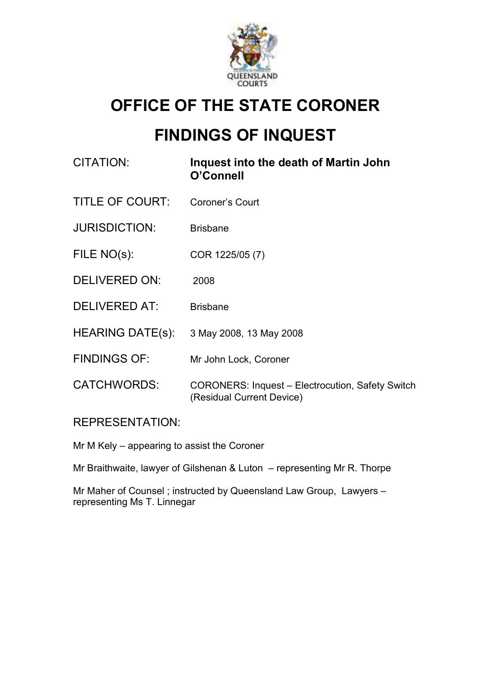

## OFFICE OF THE STATE CORONER

# FINDINGS OF INQUEST

| CITATION:               | Inquest into the death of Martin John<br>O'Connell                            |
|-------------------------|-------------------------------------------------------------------------------|
| TITLE OF COURT:         | Coroner's Court                                                               |
| <b>JURISDICTION:</b>    | <b>Brisbane</b>                                                               |
| FILE NO(s):             | COR 1225/05 (7)                                                               |
| <b>DELIVERED ON:</b>    | 2008                                                                          |
| <b>DELIVERED AT:</b>    | <b>Brisbane</b>                                                               |
| <b>HEARING DATE(s):</b> | 3 May 2008, 13 May 2008                                                       |
| <b>FINDINGS OF:</b>     | Mr John Lock, Coroner                                                         |
| <b>CATCHWORDS:</b>      | CORONERS: Inquest – Electrocution, Safety Switch<br>(Residual Current Device) |

### REPRESENTATION:

Mr M Kely – appearing to assist the Coroner

Mr Braithwaite, lawyer of Gilshenan & Luton – representing Mr R. Thorpe

Mr Maher of Counsel ; instructed by Queensland Law Group, Lawyers – representing Ms T. Linnegar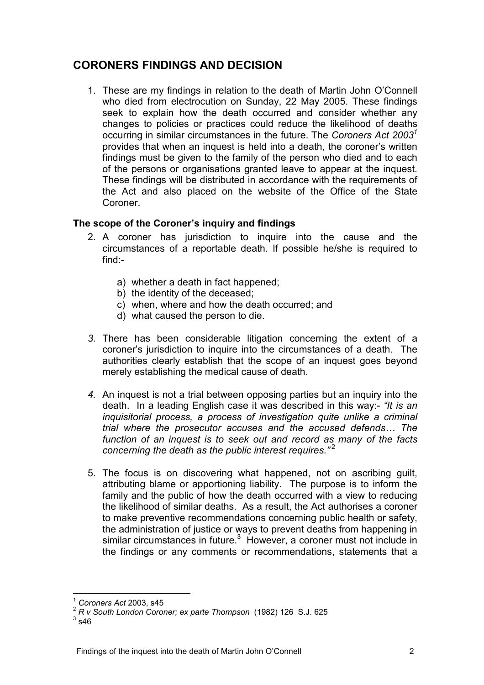## CORONERS FINDINGS AND DECISION

1. These are my findings in relation to the death of Martin John O'Connell who died from electrocution on Sunday, 22 May 2005. These findings seek to explain how the death occurred and consider whether any changes to policies or practices could reduce the likelihood of deaths occurring in similar circumstances in the future. The Coroners Act  $2003<sup>7</sup>$ provides that when an inquest is held into a death, the coroner's written findings must be given to the family of the person who died and to each of the persons or organisations granted leave to appear at the inquest. These findings will be distributed in accordance with the requirements of the Act and also placed on the website of the Office of the State Coroner.

### The scope of the Coroner's inquiry and findings

- 2. A coroner has jurisdiction to inquire into the cause and the circumstances of a reportable death. If possible he/she is required to find:
	- a) whether a death in fact happened;
	- b) the identity of the deceased;
	- c) when, where and how the death occurred; and
	- d) what caused the person to die.
- 3. There has been considerable litigation concerning the extent of a coroner's jurisdiction to inquire into the circumstances of a death. The authorities clearly establish that the scope of an inquest goes beyond merely establishing the medical cause of death.
- 4. An inquest is not a trial between opposing parties but an inquiry into the death. In a leading English case it was described in this way:- "It is an inquisitorial process, a process of investigation quite unlike a criminal trial where the prosecutor accuses and the accused defends… The function of an inquest is to seek out and record as many of the facts concerning the death as the public interest requires." $2^2$
- 5. The focus is on discovering what happened, not on ascribing guilt, attributing blame or apportioning liability. The purpose is to inform the family and the public of how the death occurred with a view to reducing the likelihood of similar deaths. As a result, the Act authorises a coroner to make preventive recommendations concerning public health or safety, the administration of justice or ways to prevent deaths from happening in similar circumstances in future. $3$  However, a coroner must not include in the findings or any comments or recommendations, statements that a

 $\overline{a}$ 

Coroners Act 2003. s45

<sup>2</sup> R v South London Coroner; ex parte Thompson (1982) 126 S.J. 625

 $3$  s46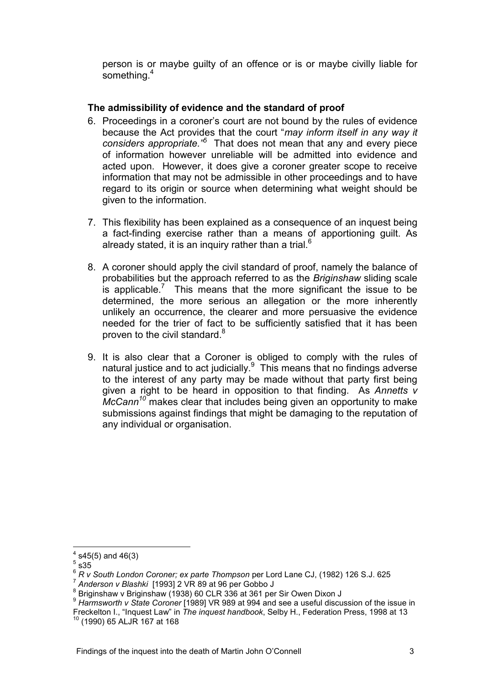person is or maybe guilty of an offence or is or maybe civilly liable for something.<sup>4</sup>

#### The admissibility of evidence and the standard of proof

- 6. Proceedings in a coroner's court are not bound by the rules of evidence because the Act provides that the court "may inform itself in any way it considers appropriate.<sup>75</sup> That does not mean that any and every piece of information however unreliable will be admitted into evidence and acted upon. However, it does give a coroner greater scope to receive information that may not be admissible in other proceedings and to have regard to its origin or source when determining what weight should be given to the information.
- 7. This flexibility has been explained as a consequence of an inquest being a fact-finding exercise rather than a means of apportioning guilt. As already stated, it is an inquiry rather than a trial.<sup>6</sup>
- 8. A coroner should apply the civil standard of proof, namely the balance of probabilities but the approach referred to as the Briginshaw sliding scale is applicable.<sup>7</sup> This means that the more significant the issue to be determined, the more serious an allegation or the more inherently unlikely an occurrence, the clearer and more persuasive the evidence needed for the trier of fact to be sufficiently satisfied that it has been proven to the civil standard. $8$
- 9. It is also clear that a Coroner is obliged to comply with the rules of natural justice and to act judicially. $9$  This means that no findings adverse to the interest of any party may be made without that party first being given a right to be heard in opposition to that finding. As Annetts  $v$  *makes clear that includes being given an opportunity to make* submissions against findings that might be damaging to the reputation of any individual or organisation.

 $\overline{a}$ 

 $^{4}$  s45(5) and 46(3)

 $\frac{5}{3}$  s35 $\overline{)}$ 

<sup>&</sup>lt;sup>6</sup> R v South London Coroner; ex parte Thompson per Lord Lane CJ, (1982) 126 S.J. 625

<sup>7</sup> Anderson v Blashki [1993] 2 VR 89 at 96 per Gobbo J

 $\frac{8}{3}$  Briginshaw v Briginshaw (1938) 60 CLR 336 at 361 per Sir Owen Dixon J

<sup>9</sup> Harmsworth v State Coroner [1989] VR 989 at 994 and see a useful discussion of the issue in Freckelton I., "Inquest Law" in The inquest handbook, Selby H., Federation Press, 1998 at 13 <sup>10</sup> (1990) 65 ALJR 167 at 168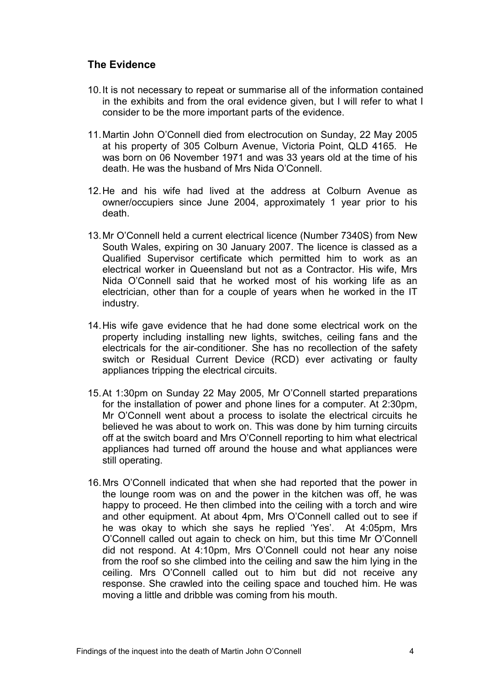### The Evidence

- 10. It is not necessary to repeat or summarise all of the information contained in the exhibits and from the oral evidence given, but I will refer to what I consider to be the more important parts of the evidence.
- 11. Martin John O'Connell died from electrocution on Sunday, 22 May 2005 at his property of 305 Colburn Avenue, Victoria Point, QLD 4165. He was born on 06 November 1971 and was 33 years old at the time of his death. He was the husband of Mrs Nida O'Connell.
- 12. He and his wife had lived at the address at Colburn Avenue as owner/occupiers since June 2004, approximately 1 year prior to his death.
- 13. Mr O'Connell held a current electrical licence (Number 7340S) from New South Wales, expiring on 30 January 2007. The licence is classed as a Qualified Supervisor certificate which permitted him to work as an electrical worker in Queensland but not as a Contractor. His wife, Mrs Nida O'Connell said that he worked most of his working life as an electrician, other than for a couple of years when he worked in the IT industry.
- 14. His wife gave evidence that he had done some electrical work on the property including installing new lights, switches, ceiling fans and the electricals for the air-conditioner. She has no recollection of the safety switch or Residual Current Device (RCD) ever activating or faulty appliances tripping the electrical circuits.
- 15. At 1:30pm on Sunday 22 May 2005, Mr O'Connell started preparations for the installation of power and phone lines for a computer. At 2:30pm, Mr O'Connell went about a process to isolate the electrical circuits he believed he was about to work on. This was done by him turning circuits off at the switch board and Mrs O'Connell reporting to him what electrical appliances had turned off around the house and what appliances were still operating.
- 16. Mrs O'Connell indicated that when she had reported that the power in the lounge room was on and the power in the kitchen was off, he was happy to proceed. He then climbed into the ceiling with a torch and wire and other equipment. At about 4pm, Mrs O'Connell called out to see if he was okay to which she says he replied 'Yes'. At 4:05pm, Mrs O'Connell called out again to check on him, but this time Mr O'Connell did not respond. At 4:10pm, Mrs O'Connell could not hear any noise from the roof so she climbed into the ceiling and saw the him lying in the ceiling. Mrs O'Connell called out to him but did not receive any response. She crawled into the ceiling space and touched him. He was moving a little and dribble was coming from his mouth.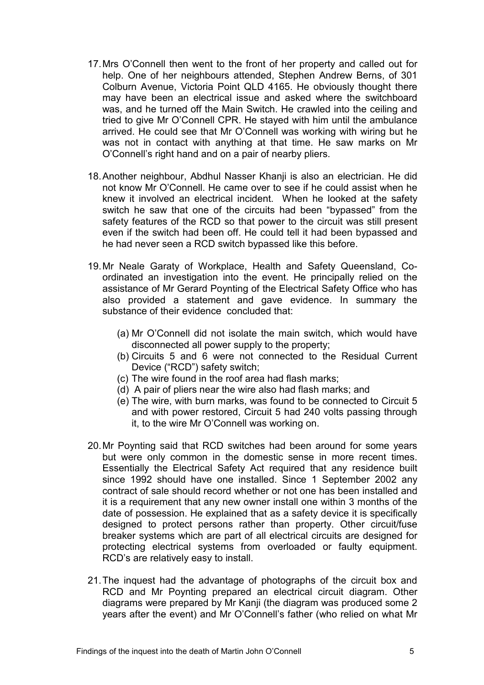- 17. Mrs O'Connell then went to the front of her property and called out for help. One of her neighbours attended, Stephen Andrew Berns, of 301 Colburn Avenue, Victoria Point QLD 4165. He obviously thought there may have been an electrical issue and asked where the switchboard was, and he turned off the Main Switch. He crawled into the ceiling and tried to give Mr O'Connell CPR. He stayed with him until the ambulance arrived. He could see that Mr O'Connell was working with wiring but he was not in contact with anything at that time. He saw marks on Mr O'Connell's right hand and on a pair of nearby pliers.
- 18. Another neighbour, Abdhul Nasser Khanji is also an electrician. He did not know Mr O'Connell. He came over to see if he could assist when he knew it involved an electrical incident. When he looked at the safety switch he saw that one of the circuits had been "bypassed" from the safety features of the RCD so that power to the circuit was still present even if the switch had been off. He could tell it had been bypassed and he had never seen a RCD switch bypassed like this before.
- 19. Mr Neale Garaty of Workplace, Health and Safety Queensland, Coordinated an investigation into the event. He principally relied on the assistance of Mr Gerard Poynting of the Electrical Safety Office who has also provided a statement and gave evidence. In summary the substance of their evidence concluded that:
	- (a) Mr O'Connell did not isolate the main switch, which would have disconnected all power supply to the property;
	- (b) Circuits 5 and 6 were not connected to the Residual Current Device ("RCD") safety switch;
	- (c) The wire found in the roof area had flash marks;
	- (d) A pair of pliers near the wire also had flash marks; and
	- (e) The wire, with burn marks, was found to be connected to Circuit 5 and with power restored, Circuit 5 had 240 volts passing through it, to the wire Mr O'Connell was working on.
- 20. Mr Poynting said that RCD switches had been around for some years but were only common in the domestic sense in more recent times. Essentially the Electrical Safety Act required that any residence built since 1992 should have one installed. Since 1 September 2002 any contract of sale should record whether or not one has been installed and it is a requirement that any new owner install one within 3 months of the date of possession. He explained that as a safety device it is specifically designed to protect persons rather than property. Other circuit/fuse breaker systems which are part of all electrical circuits are designed for protecting electrical systems from overloaded or faulty equipment. RCD's are relatively easy to install.
- 21. The inquest had the advantage of photographs of the circuit box and RCD and Mr Poynting prepared an electrical circuit diagram. Other diagrams were prepared by Mr Kanji (the diagram was produced some 2 years after the event) and Mr O'Connell's father (who relied on what Mr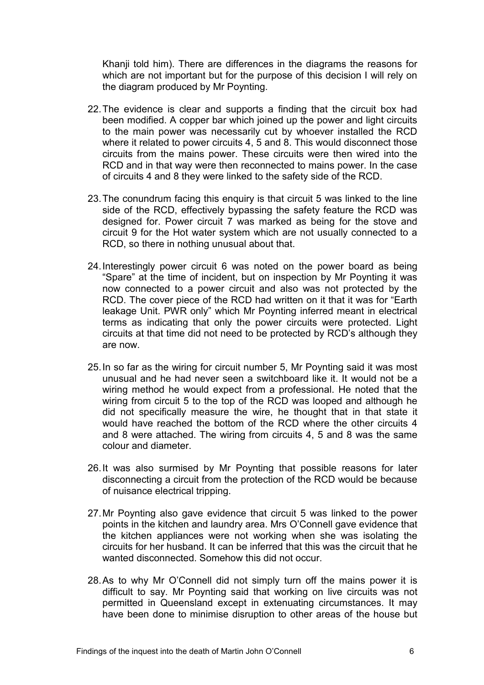Khanji told him). There are differences in the diagrams the reasons for which are not important but for the purpose of this decision I will rely on the diagram produced by Mr Poynting.

- 22. The evidence is clear and supports a finding that the circuit box had been modified. A copper bar which joined up the power and light circuits to the main power was necessarily cut by whoever installed the RCD where it related to power circuits 4, 5 and 8. This would disconnect those circuits from the mains power. These circuits were then wired into the RCD and in that way were then reconnected to mains power. In the case of circuits 4 and 8 they were linked to the safety side of the RCD.
- 23. The conundrum facing this enquiry is that circuit 5 was linked to the line side of the RCD, effectively bypassing the safety feature the RCD was designed for. Power circuit 7 was marked as being for the stove and circuit 9 for the Hot water system which are not usually connected to a RCD, so there in nothing unusual about that.
- 24. Interestingly power circuit 6 was noted on the power board as being "Spare" at the time of incident, but on inspection by Mr Poynting it was now connected to a power circuit and also was not protected by the RCD. The cover piece of the RCD had written on it that it was for "Earth leakage Unit. PWR only" which Mr Poynting inferred meant in electrical terms as indicating that only the power circuits were protected. Light circuits at that time did not need to be protected by RCD's although they are now.
- 25. In so far as the wiring for circuit number 5, Mr Poynting said it was most unusual and he had never seen a switchboard like it. It would not be a wiring method he would expect from a professional. He noted that the wiring from circuit 5 to the top of the RCD was looped and although he did not specifically measure the wire, he thought that in that state it would have reached the bottom of the RCD where the other circuits 4 and 8 were attached. The wiring from circuits 4, 5 and 8 was the same colour and diameter.
- 26. It was also surmised by Mr Poynting that possible reasons for later disconnecting a circuit from the protection of the RCD would be because of nuisance electrical tripping.
- 27. Mr Poynting also gave evidence that circuit 5 was linked to the power points in the kitchen and laundry area. Mrs O'Connell gave evidence that the kitchen appliances were not working when she was isolating the circuits for her husband. It can be inferred that this was the circuit that he wanted disconnected. Somehow this did not occur.
- 28. As to why Mr O'Connell did not simply turn off the mains power it is difficult to say. Mr Poynting said that working on live circuits was not permitted in Queensland except in extenuating circumstances. It may have been done to minimise disruption to other areas of the house but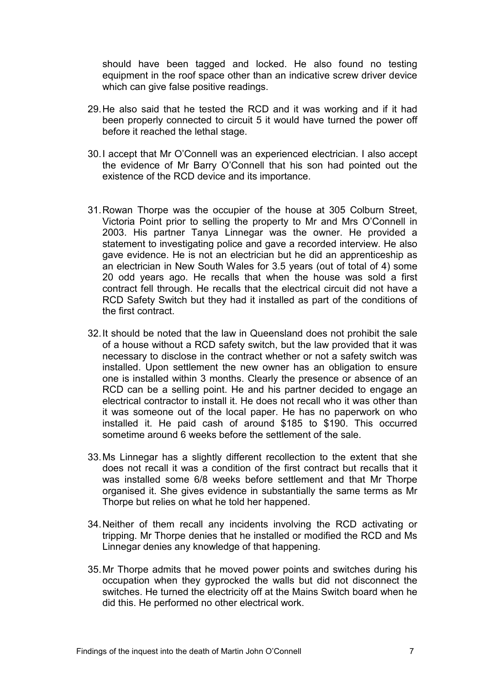should have been tagged and locked. He also found no testing equipment in the roof space other than an indicative screw driver device which can give false positive readings.

- 29. He also said that he tested the RCD and it was working and if it had been properly connected to circuit 5 it would have turned the power off before it reached the lethal stage.
- 30. I accept that Mr O'Connell was an experienced electrician. I also accept the evidence of Mr Barry O'Connell that his son had pointed out the existence of the RCD device and its importance.
- 31. Rowan Thorpe was the occupier of the house at 305 Colburn Street, Victoria Point prior to selling the property to Mr and Mrs O'Connell in 2003. His partner Tanya Linnegar was the owner. He provided a statement to investigating police and gave a recorded interview. He also gave evidence. He is not an electrician but he did an apprenticeship as an electrician in New South Wales for 3.5 years (out of total of 4) some 20 odd years ago. He recalls that when the house was sold a first contract fell through. He recalls that the electrical circuit did not have a RCD Safety Switch but they had it installed as part of the conditions of the first contract.
- 32. It should be noted that the law in Queensland does not prohibit the sale of a house without a RCD safety switch, but the law provided that it was necessary to disclose in the contract whether or not a safety switch was installed. Upon settlement the new owner has an obligation to ensure one is installed within 3 months. Clearly the presence or absence of an RCD can be a selling point. He and his partner decided to engage an electrical contractor to install it. He does not recall who it was other than it was someone out of the local paper. He has no paperwork on who installed it. He paid cash of around \$185 to \$190. This occurred sometime around 6 weeks before the settlement of the sale.
- 33. Ms Linnegar has a slightly different recollection to the extent that she does not recall it was a condition of the first contract but recalls that it was installed some 6/8 weeks before settlement and that Mr Thorpe organised it. She gives evidence in substantially the same terms as Mr Thorpe but relies on what he told her happened.
- 34. Neither of them recall any incidents involving the RCD activating or tripping. Mr Thorpe denies that he installed or modified the RCD and Ms Linnegar denies any knowledge of that happening.
- 35. Mr Thorpe admits that he moved power points and switches during his occupation when they gyprocked the walls but did not disconnect the switches. He turned the electricity off at the Mains Switch board when he did this. He performed no other electrical work.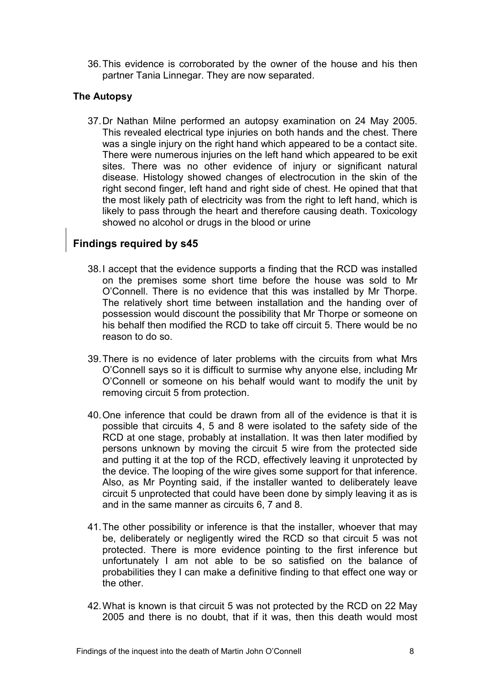36. This evidence is corroborated by the owner of the house and his then partner Tania Linnegar. They are now separated.

#### The Autopsy

37. Dr Nathan Milne performed an autopsy examination on 24 May 2005. This revealed electrical type injuries on both hands and the chest. There was a single injury on the right hand which appeared to be a contact site. There were numerous injuries on the left hand which appeared to be exit sites. There was no other evidence of injury or significant natural disease. Histology showed changes of electrocution in the skin of the right second finger, left hand and right side of chest. He opined that that the most likely path of electricity was from the right to left hand, which is likely to pass through the heart and therefore causing death. Toxicology showed no alcohol or drugs in the blood or urine

### Findings required by s45

- 38. I accept that the evidence supports a finding that the RCD was installed on the premises some short time before the house was sold to Mr O'Connell. There is no evidence that this was installed by Mr Thorpe. The relatively short time between installation and the handing over of possession would discount the possibility that Mr Thorpe or someone on his behalf then modified the RCD to take off circuit 5. There would be no reason to do so.
- 39. There is no evidence of later problems with the circuits from what Mrs O'Connell says so it is difficult to surmise why anyone else, including Mr O'Connell or someone on his behalf would want to modify the unit by removing circuit 5 from protection.
- 40. One inference that could be drawn from all of the evidence is that it is possible that circuits 4, 5 and 8 were isolated to the safety side of the RCD at one stage, probably at installation. It was then later modified by persons unknown by moving the circuit 5 wire from the protected side and putting it at the top of the RCD, effectively leaving it unprotected by the device. The looping of the wire gives some support for that inference. Also, as Mr Poynting said, if the installer wanted to deliberately leave circuit 5 unprotected that could have been done by simply leaving it as is and in the same manner as circuits 6, 7 and 8.
- 41. The other possibility or inference is that the installer, whoever that may be, deliberately or negligently wired the RCD so that circuit 5 was not protected. There is more evidence pointing to the first inference but unfortunately I am not able to be so satisfied on the balance of probabilities they I can make a definitive finding to that effect one way or the other.
- 42. What is known is that circuit 5 was not protected by the RCD on 22 May 2005 and there is no doubt, that if it was, then this death would most